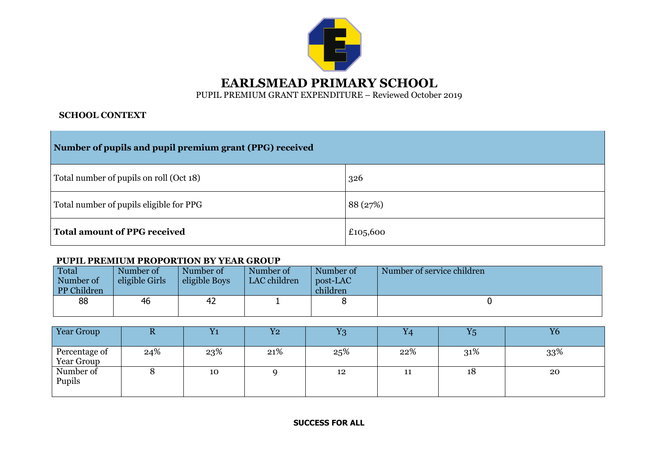

## **SCHOOL CONTEXT**

| Number of pupils and pupil premium grant (PPG) received |          |  |  |  |  |  |
|---------------------------------------------------------|----------|--|--|--|--|--|
| Total number of pupils on roll (Oct 18)                 | 326      |  |  |  |  |  |
| Total number of pupils eligible for PPG                 | 88 (27%) |  |  |  |  |  |
| <b>Total amount of PPG received</b>                     | £105,600 |  |  |  |  |  |

## **PUPIL PREMIUM PROPORTION BY YEAR GROUP**

| Total<br>Number of<br>PP Children | Number of<br>eligible Girls | Number of<br>eligible Boys | Number of<br>LAC children | Number of<br>post-LAC<br>children | Number of service children |
|-----------------------------------|-----------------------------|----------------------------|---------------------------|-----------------------------------|----------------------------|
| 88                                | 46                          | 42                         |                           |                                   |                            |

| Year Group                  | w   | $Y_1$ | $\boldsymbol{\mathrm{Y2}}$ | $\operatorname{Y3}$ | Y4  | $Y_5$ | Y6  |
|-----------------------------|-----|-------|----------------------------|---------------------|-----|-------|-----|
| Percentage of<br>Year Group | 24% | 23%   | 21%                        | 25%                 | 22% | 31%   | 33% |
| Number of<br>Pupils         |     | 10    |                            | 12                  | 11  | 18    | 20  |

**SUCCESS FOR ALL**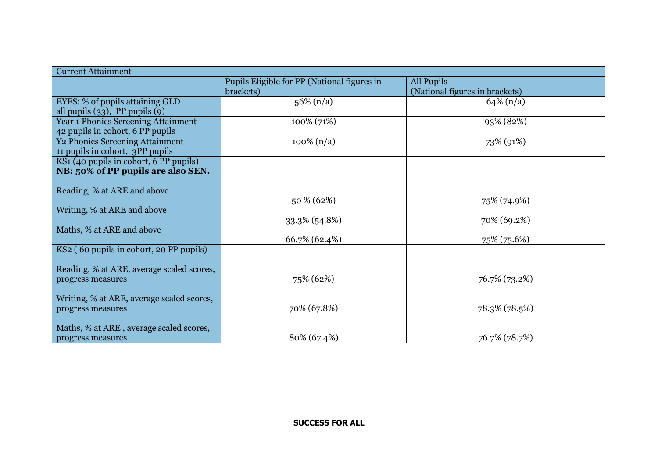| <b>Current Attainment</b>                  |                                             |                                |  |  |  |  |  |
|--------------------------------------------|---------------------------------------------|--------------------------------|--|--|--|--|--|
|                                            | Pupils Eligible for PP (National figures in | All Pupils                     |  |  |  |  |  |
|                                            | brackets)                                   | (National figures in brackets) |  |  |  |  |  |
| EYFS: % of pupils attaining GLD            | $56\% (n/a)$                                | $64\% (n/a)$                   |  |  |  |  |  |
| all pupils $(33)$ , PP pupils $(9)$        |                                             |                                |  |  |  |  |  |
| <b>Year 1 Phonics Screening Attainment</b> | 100% (71%)                                  | 93% (82%)                      |  |  |  |  |  |
| 42 pupils in cohort, 6 PP pupils           |                                             |                                |  |  |  |  |  |
| <b>Y2 Phonics Screening Attainment</b>     | $100\%$ (n/a)                               | 73% (91%)                      |  |  |  |  |  |
| 11 pupils in cohort, 3PP pupils            |                                             |                                |  |  |  |  |  |
| KS1 (40 pupils in cohort, 6 PP pupils)     |                                             |                                |  |  |  |  |  |
| NB: 50% of PP pupils are also SEN.         |                                             |                                |  |  |  |  |  |
|                                            |                                             |                                |  |  |  |  |  |
| Reading, % at ARE and above                |                                             |                                |  |  |  |  |  |
|                                            | 50 % (62%)                                  | 75% (74.9%)                    |  |  |  |  |  |
| Writing, % at ARE and above                |                                             |                                |  |  |  |  |  |
|                                            | 33.3% (54.8%)                               | 70% (69.2%)                    |  |  |  |  |  |
| Maths, % at ARE and above                  |                                             |                                |  |  |  |  |  |
|                                            | 66.7% (62.4%)                               | 75% (75.6%)                    |  |  |  |  |  |
| KS2 (60 pupils in cohort, 20 PP pupils)    |                                             |                                |  |  |  |  |  |
|                                            |                                             |                                |  |  |  |  |  |
| Reading, % at ARE, average scaled scores,  |                                             |                                |  |  |  |  |  |
| progress measures                          | 75% (62%)                                   | 76.7% (73.2%)                  |  |  |  |  |  |
|                                            |                                             |                                |  |  |  |  |  |
| Writing, % at ARE, average scaled scores,  | 70% (67.8%)                                 |                                |  |  |  |  |  |
| progress measures                          |                                             | 78.3% (78.5%)                  |  |  |  |  |  |
| Maths, % at ARE, average scaled scores,    |                                             |                                |  |  |  |  |  |
| progress measures                          | 80% (67.4%)                                 | 76.7% (78.7%)                  |  |  |  |  |  |
|                                            |                                             |                                |  |  |  |  |  |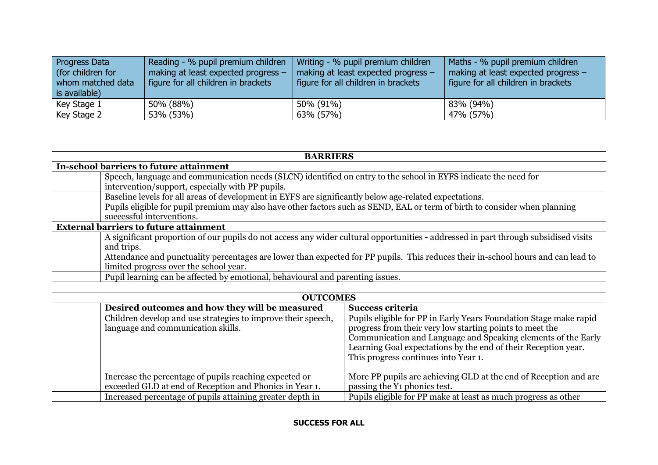| Progress Data<br>(for children for<br>whom matched data<br>is available) | Reading - % pupil premium children<br>making at least expected progress -<br>figure for all children in brackets | Writing - % pupil premium children<br>making at least expected progress -<br>figure for all children in brackets | Maths - % pupil premium children<br>making at least expected progress -<br>figure for all children in brackets |
|--------------------------------------------------------------------------|------------------------------------------------------------------------------------------------------------------|------------------------------------------------------------------------------------------------------------------|----------------------------------------------------------------------------------------------------------------|
| Key Stage 1                                                              | 50% (88%)                                                                                                        | 50% (91%)                                                                                                        | 83% (94%)                                                                                                      |
| Key Stage 2                                                              | 53% (53%)                                                                                                        | 63% (57%)                                                                                                        | 47% (57%)                                                                                                      |

| <b>BARRIERS</b>                                                                                                                     |  |  |  |  |  |  |
|-------------------------------------------------------------------------------------------------------------------------------------|--|--|--|--|--|--|
| In-school barriers to future attainment                                                                                             |  |  |  |  |  |  |
| Speech, language and communication needs (SLCN) identified on entry to the school in EYFS indicate the need for                     |  |  |  |  |  |  |
| intervention/support, especially with PP pupils.                                                                                    |  |  |  |  |  |  |
| Baseline levels for all areas of development in EYFS are significantly below age-related expectations.                              |  |  |  |  |  |  |
| Pupils eligible for pupil premium may also have other factors such as SEND, EAL or term of birth to consider when planning          |  |  |  |  |  |  |
| successful interventions.                                                                                                           |  |  |  |  |  |  |
| <b>External barriers to future attainment</b>                                                                                       |  |  |  |  |  |  |
| A significant proportion of our pupils do not access any wider cultural opportunities - addressed in part through subsidised visits |  |  |  |  |  |  |
| and trips.                                                                                                                          |  |  |  |  |  |  |
| Attendance and punctuality percentages are lower than expected for PP pupils. This reduces their in-school hours and can lead to    |  |  |  |  |  |  |
| limited progress over the school year.                                                                                              |  |  |  |  |  |  |
| Pupil learning can be affected by emotional, behavioural and parenting issues.                                                      |  |  |  |  |  |  |

| <b>OUTCOMES</b>                                                                                                   |                                                                                                                                                                                                                                                                                                          |  |  |  |  |  |
|-------------------------------------------------------------------------------------------------------------------|----------------------------------------------------------------------------------------------------------------------------------------------------------------------------------------------------------------------------------------------------------------------------------------------------------|--|--|--|--|--|
| Desired outcomes and how they will be measured                                                                    | Success criteria                                                                                                                                                                                                                                                                                         |  |  |  |  |  |
| Children develop and use strategies to improve their speech,<br>language and communication skills.                | Pupils eligible for PP in Early Years Foundation Stage make rapid<br>progress from their very low starting points to meet the<br>Communication and Language and Speaking elements of the Early<br>Learning Goal expectations by the end of their Reception year.<br>This progress continues into Year 1. |  |  |  |  |  |
| Increase the percentage of pupils reaching expected or<br>exceeded GLD at end of Reception and Phonics in Year 1. | More PP pupils are achieving GLD at the end of Reception and are<br>passing the Y <sub>1</sub> phonics test.                                                                                                                                                                                             |  |  |  |  |  |
| Increased percentage of pupils attaining greater depth in                                                         | Pupils eligible for PP make at least as much progress as other                                                                                                                                                                                                                                           |  |  |  |  |  |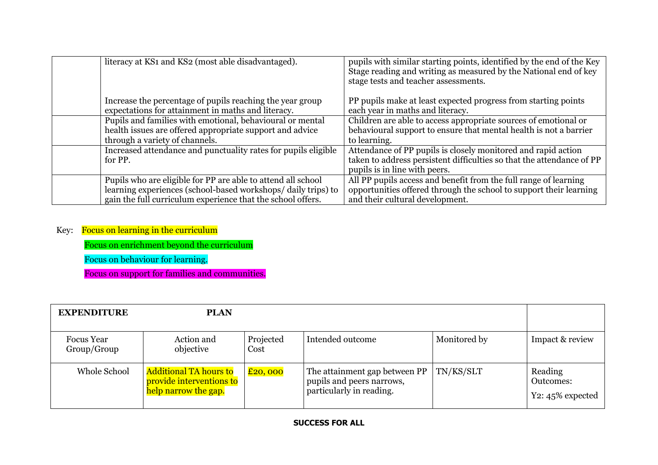| literacy at KS1 and KS2 (most able disadvantaged).                                                                                                                                          | pupils with similar starting points, identified by the end of the Key<br>Stage reading and writing as measured by the National end of key<br>stage tests and teacher assessments. |
|---------------------------------------------------------------------------------------------------------------------------------------------------------------------------------------------|-----------------------------------------------------------------------------------------------------------------------------------------------------------------------------------|
| Increase the percentage of pupils reaching the year group<br>expectations for attainment in maths and literacy.                                                                             | PP pupils make at least expected progress from starting points<br>each year in maths and literacy.                                                                                |
| Pupils and families with emotional, behavioural or mental<br>health issues are offered appropriate support and advice<br>through a variety of channels.                                     | Children are able to access appropriate sources of emotional or<br>behavioural support to ensure that mental health is not a barrier<br>to learning.                              |
| Increased attendance and punctuality rates for pupils eligible<br>for PP.                                                                                                                   | Attendance of PP pupils is closely monitored and rapid action<br>taken to address persistent difficulties so that the attendance of PP<br>pupils is in line with peers.           |
| Pupils who are eligible for PP are able to attend all school<br>learning experiences (school-based workshops/daily trips) to<br>gain the full curriculum experience that the school offers. | All PP pupils access and benefit from the full range of learning<br>opportunities offered through the school to support their learning<br>and their cultural development.         |

## Key: Focus on learning in the curriculum

Focus on enrichment beyond the curriculum

Focus on behaviour for learning.

Focus on support for families and communities.

| <b>EXPENDITURE</b>               | <b>PLAN</b>                                                                       |                             |                                                                                        |              |                                                    |
|----------------------------------|-----------------------------------------------------------------------------------|-----------------------------|----------------------------------------------------------------------------------------|--------------|----------------------------------------------------|
| <b>Focus</b> Year<br>Group/Group | Action and<br>objective                                                           | Projected<br>Cost           | Intended outcome                                                                       | Monitored by | Impact & review                                    |
| Whole School                     | <b>Additional TA hours to</b><br>provide interventions to<br>help narrow the gap. | $\overline{\text{£20,000}}$ | The attainment gap between PP<br>pupils and peers narrows,<br>particularly in reading. | TN/KS/SLT    | Reading<br><b>Outcomes:</b><br>Y2: $45\%$ expected |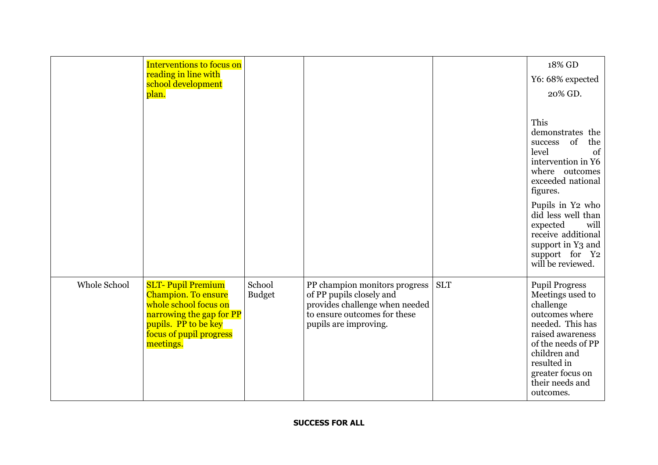|              | <b>Interventions to focus on</b><br>reading in line with                                                                                                                    |                         |                                                                                                                                                      |            | 18% GD<br>Y6: 68% expected                                                                                                                                                                                                                                                            |
|--------------|-----------------------------------------------------------------------------------------------------------------------------------------------------------------------------|-------------------------|------------------------------------------------------------------------------------------------------------------------------------------------------|------------|---------------------------------------------------------------------------------------------------------------------------------------------------------------------------------------------------------------------------------------------------------------------------------------|
|              | school development<br>plan.                                                                                                                                                 |                         |                                                                                                                                                      |            | 20% GD.                                                                                                                                                                                                                                                                               |
|              |                                                                                                                                                                             |                         |                                                                                                                                                      |            | This<br>demonstrates the<br>success of<br>the<br>level<br>of<br>intervention in Y6<br>where outcomes<br>exceeded national<br>figures.<br>Pupils in Y2 who<br>did less well than<br>expected<br>will<br>receive additional<br>support in Y3 and<br>support for Y2<br>will be reviewed. |
| Whole School | <b>SLT-Pupil Premium</b><br><b>Champion. To ensure</b><br>whole school focus on<br>narrowing the gap for PP<br>pupils. PP to be key<br>focus of pupil progress<br>meetings. | School<br><b>Budget</b> | PP champion monitors progress<br>of PP pupils closely and<br>provides challenge when needed<br>to ensure outcomes for these<br>pupils are improving. | <b>SLT</b> | <b>Pupil Progress</b><br>Meetings used to<br>challenge<br>outcomes where<br>needed. This has<br>raised awareness<br>of the needs of PP<br>children and<br>resulted in<br>greater focus on<br>their needs and<br>outcomes.                                                             |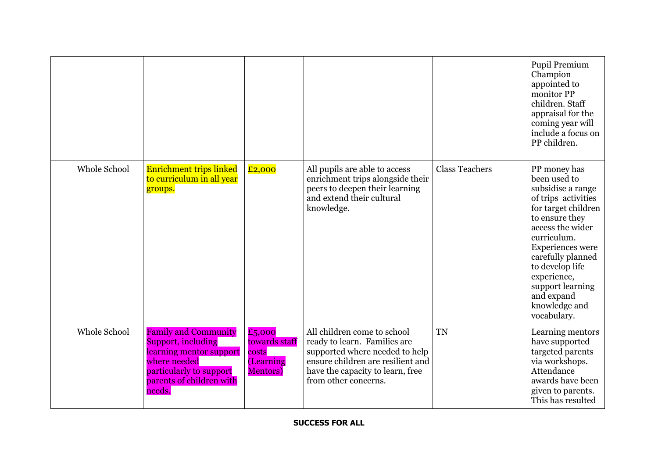|              |                                                                                                                                                               |                                                                   |                                                                                                                                                                                                |                       | Pupil Premium<br>Champion<br>appointed to<br>monitor PP<br>children. Staff<br>appraisal for the<br>coming year will<br>include a focus on<br>PP children.                                                                                                                                         |
|--------------|---------------------------------------------------------------------------------------------------------------------------------------------------------------|-------------------------------------------------------------------|------------------------------------------------------------------------------------------------------------------------------------------------------------------------------------------------|-----------------------|---------------------------------------------------------------------------------------------------------------------------------------------------------------------------------------------------------------------------------------------------------------------------------------------------|
| Whole School | Enrichment trips linked<br>to curriculum in all year<br>groups.                                                                                               | £2,000                                                            | All pupils are able to access<br>enrichment trips alongside their<br>peers to deepen their learning<br>and extend their cultural<br>knowledge.                                                 | <b>Class Teachers</b> | PP money has<br>been used to<br>subsidise a range<br>of trips activities<br>for target children<br>to ensure they<br>access the wider<br>curriculum.<br>Experiences were<br>carefully planned<br>to develop life<br>experience,<br>support learning<br>and expand<br>knowledge and<br>vocabulary. |
| Whole School | <b>Family and Community</b><br>Support, including<br>learning mentor support<br>where needed<br>particularly to support<br>parents of children with<br>needs. | £5,000<br>towards staff<br>costs<br>(Learning<br><b>Mentors</b> ) | All children come to school<br>ready to learn. Families are<br>supported where needed to help<br>ensure children are resilient and<br>have the capacity to learn, free<br>from other concerns. | <b>TN</b>             | Learning mentors<br>have supported<br>targeted parents<br>via workshops.<br>Attendance<br>awards have been<br>given to parents.<br>This has resulted                                                                                                                                              |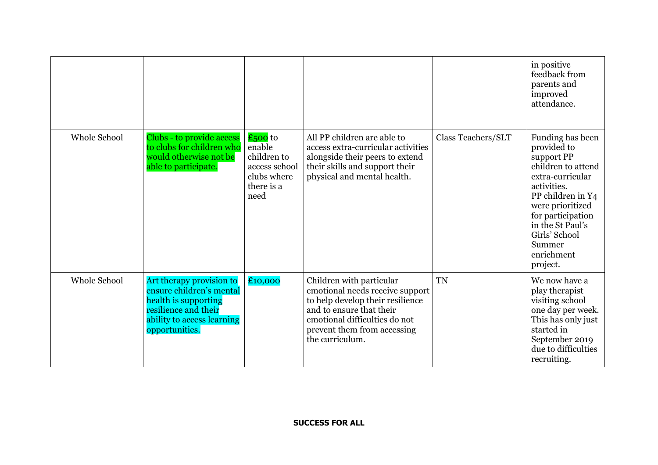|              |                                                                                                                                                      |                                                                                          |                                                                                                                                                                                                                |                    | in positive<br>feedback from<br>parents and<br>improved<br>attendance.                                                                                                                                                                        |
|--------------|------------------------------------------------------------------------------------------------------------------------------------------------------|------------------------------------------------------------------------------------------|----------------------------------------------------------------------------------------------------------------------------------------------------------------------------------------------------------------|--------------------|-----------------------------------------------------------------------------------------------------------------------------------------------------------------------------------------------------------------------------------------------|
| Whole School | Clubs - to provide access<br>to clubs for children who<br>would otherwise not be<br>able to participate.                                             | $£500$ to<br>enable<br>children to<br>access school<br>clubs where<br>there is a<br>need | All PP children are able to<br>access extra-curricular activities<br>alongside their peers to extend<br>their skills and support their<br>physical and mental health.                                          | Class Teachers/SLT | Funding has been<br>provided to<br>support PP<br>children to attend<br>extra-curricular<br>activities.<br>PP children in Y4<br>were prioritized<br>for participation<br>in the St Paul's<br>Girls' School<br>Summer<br>enrichment<br>project. |
| Whole School | Art therapy provision to<br>ensure children's mental<br>health is supporting<br>resilience and their<br>ability to access learning<br>opportunities. | £10,000                                                                                  | Children with particular<br>emotional needs receive support<br>to help develop their resilience<br>and to ensure that their<br>emotional difficulties do not<br>prevent them from accessing<br>the curriculum. | <b>TN</b>          | We now have a<br>play therapist<br>visiting school<br>one day per week.<br>This has only just<br>started in<br>September 2019<br>due to difficulties<br>recruiting.                                                                           |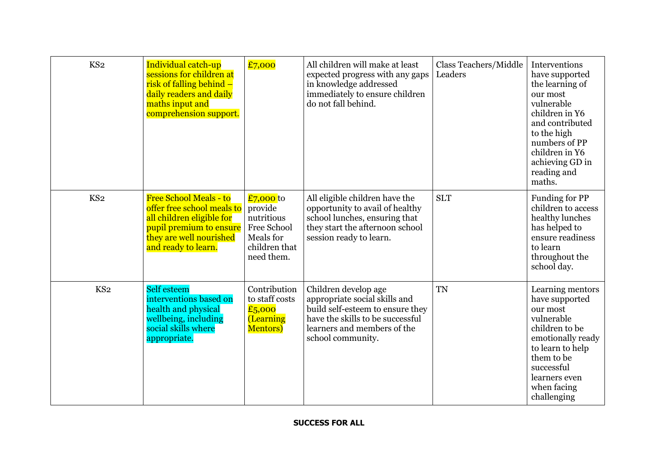| KS <sub>2</sub> | Individual catch-up<br>sessions for children at<br>risk of falling behind –<br>daily readers and daily<br>maths input and<br>comprehension support.                   | £7,000                                                                                        | All children will make at least<br>expected progress with any gaps<br>in knowledge addressed<br>immediately to ensure children<br>do not fall behind.                             | Class Teachers/Middle<br>Leaders | Interventions<br>have supported<br>the learning of<br>our most<br>vulnerable<br>children in Y6<br>and contributed<br>to the high<br>numbers of PP<br>children in Y6<br>achieving GD in<br>reading and<br>maths. |
|-----------------|-----------------------------------------------------------------------------------------------------------------------------------------------------------------------|-----------------------------------------------------------------------------------------------|-----------------------------------------------------------------------------------------------------------------------------------------------------------------------------------|----------------------------------|-----------------------------------------------------------------------------------------------------------------------------------------------------------------------------------------------------------------|
| KS <sub>2</sub> | <b>Free School Meals - to</b><br>offer free school meals to<br>all children eligible for<br>pupil premium to ensure<br>they are well nourished<br>and ready to learn. | £7,000 to<br>provide<br>nutritious<br>Free School<br>Meals for<br>children that<br>need them. | All eligible children have the<br>opportunity to avail of healthy<br>school lunches, ensuring that<br>they start the afternoon school<br>session ready to learn.                  | <b>SLT</b>                       | Funding for PP<br>children to access<br>healthy lunches<br>has helped to<br>ensure readiness<br>to learn<br>throughout the<br>school day.                                                                       |
| KS <sub>2</sub> | Self esteem<br>interventions based on<br>health and physical<br>wellbeing, including<br>social skills where<br>appropriate.                                           | Contribution<br>to staff costs<br>£5,000<br>(Learning<br><b>Mentors</b> )                     | Children develop age<br>appropriate social skills and<br>build self-esteem to ensure they<br>have the skills to be successful<br>learners and members of the<br>school community. | <b>TN</b>                        | Learning mentors<br>have supported<br>our most<br>vulnerable<br>children to be<br>emotionally ready<br>to learn to help<br>them to be<br>successful<br>learners even<br>when facing<br>challenging              |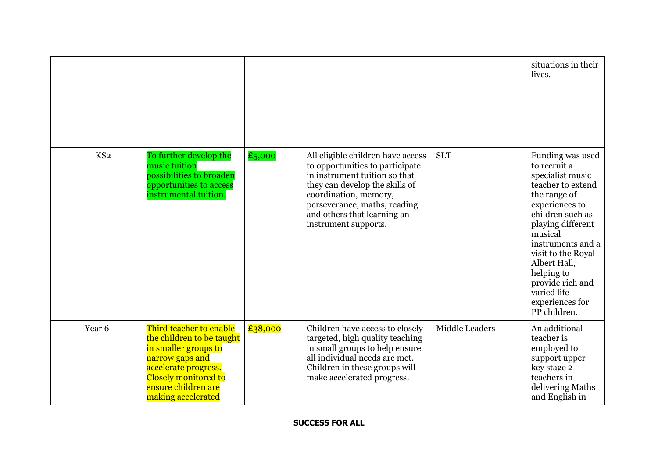|                 |                                                                                                                                                                                              |         |                                                                                                                                                                                                                                                         |                | situations in their<br>lives.                                                                                                                                                                                                                                                                                  |
|-----------------|----------------------------------------------------------------------------------------------------------------------------------------------------------------------------------------------|---------|---------------------------------------------------------------------------------------------------------------------------------------------------------------------------------------------------------------------------------------------------------|----------------|----------------------------------------------------------------------------------------------------------------------------------------------------------------------------------------------------------------------------------------------------------------------------------------------------------------|
| KS <sub>2</sub> | To further develop the<br>music tuition<br>possibilities to broaden<br>opportunities to access<br>instrumental tuition.                                                                      | £5,000  | All eligible children have access<br>to opportunities to participate<br>in instrument tuition so that<br>they can develop the skills of<br>coordination, memory,<br>perseverance, maths, reading<br>and others that learning an<br>instrument supports. | <b>SLT</b>     | Funding was used<br>to recruit a<br>specialist music<br>teacher to extend<br>the range of<br>experiences to<br>children such as<br>playing different<br>musical<br>instruments and a<br>visit to the Royal<br>Albert Hall,<br>helping to<br>provide rich and<br>varied life<br>experiences for<br>PP children. |
| Year 6          | Third teacher to enable<br>the children to be taught<br>in smaller groups to<br>narrow gaps and<br>accelerate progress.<br>Closely monitored to<br>ensure children are<br>making accelerated | £38,000 | Children have access to closely<br>targeted, high quality teaching<br>in small groups to help ensure<br>all individual needs are met.<br>Children in these groups will<br>make accelerated progress.                                                    | Middle Leaders | An additional<br>teacher is<br>employed to<br>support upper<br>key stage 2<br>teachers in<br>delivering Maths<br>and English in                                                                                                                                                                                |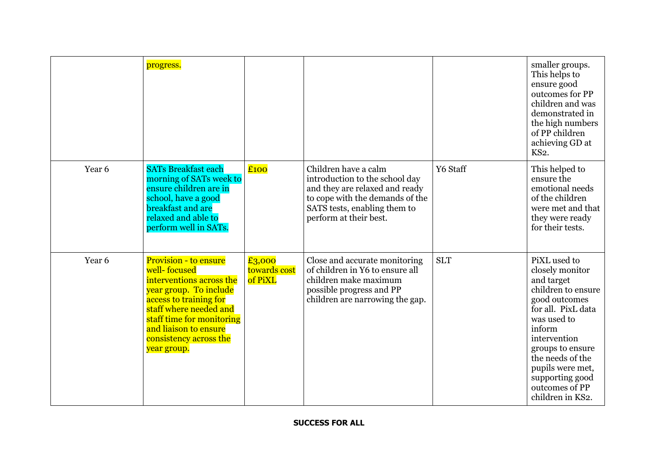|        | progress.                                                                                                                                                                                                                                      |                                   |                                                                                                                                                                                       |            | smaller groups.<br>This helps to<br>ensure good<br>outcomes for PP<br>children and was<br>demonstrated in<br>the high numbers<br>of PP children<br>achieving GD at<br>KS2.                                                                                               |
|--------|------------------------------------------------------------------------------------------------------------------------------------------------------------------------------------------------------------------------------------------------|-----------------------------------|---------------------------------------------------------------------------------------------------------------------------------------------------------------------------------------|------------|--------------------------------------------------------------------------------------------------------------------------------------------------------------------------------------------------------------------------------------------------------------------------|
| Year 6 | <b>SATs Breakfast each</b><br>morning of SATs week to<br>ensure children are in<br>school, have a good<br>breakfast and are<br>relaxed and able to<br>perform well in SATs.                                                                    | £100                              | Children have a calm<br>introduction to the school day<br>and they are relaxed and ready<br>to cope with the demands of the<br>SATS tests, enabling them to<br>perform at their best. | Y6 Staff   | This helped to<br>ensure the<br>emotional needs<br>of the children<br>were met and that<br>they were ready<br>for their tests.                                                                                                                                           |
| Year 6 | Provision - to ensure<br>well-focused<br>interventions across the<br>year group. To include<br>access to training for<br>staff where needed and<br>staff time for monitoring<br>and liaison to ensure<br>consistency across the<br>year group. | £3,000<br>towards cost<br>of PiXL | Close and accurate monitoring<br>of children in Y6 to ensure all<br>children make maximum<br>possible progress and PP<br>children are narrowing the gap.                              | <b>SLT</b> | PiXL used to<br>closely monitor<br>and target<br>children to ensure<br>good outcomes<br>for all. PixL data<br>was used to<br>inform<br>intervention<br>groups to ensure<br>the needs of the<br>pupils were met,<br>supporting good<br>outcomes of PP<br>children in KS2. |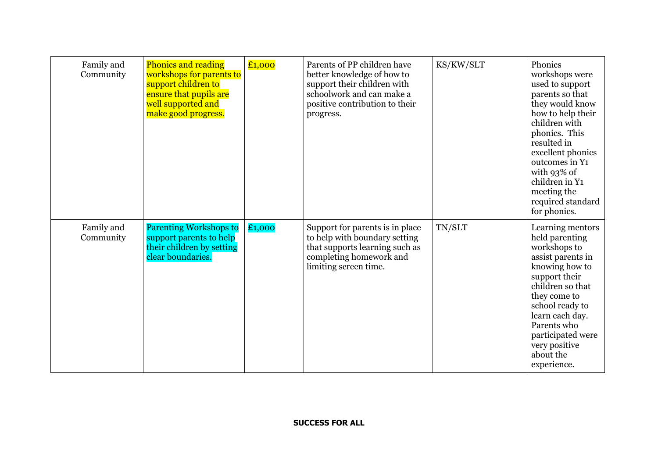| Family and<br>Community | <b>Phonics and reading</b><br>workshops for parents to<br>support children to<br>ensure that pupils are<br>well supported and<br>make good progress. | £1,000 | Parents of PP children have<br>better knowledge of how to<br>support their children with<br>schoolwork and can make a<br>positive contribution to their<br>progress. | KS/KW/SLT | Phonics<br>workshops were<br>used to support<br>parents so that<br>they would know<br>how to help their<br>children with<br>phonics. This<br>resulted in<br>excellent phonics<br>outcomes in Y1<br>with 93% of<br>children in Y1<br>meeting the<br>required standard<br>for phonics. |
|-------------------------|------------------------------------------------------------------------------------------------------------------------------------------------------|--------|----------------------------------------------------------------------------------------------------------------------------------------------------------------------|-----------|--------------------------------------------------------------------------------------------------------------------------------------------------------------------------------------------------------------------------------------------------------------------------------------|
| Family and<br>Community | <b>Parenting Workshops to</b><br>support parents to help<br>their children by setting<br>clear boundaries.                                           | £1,000 | Support for parents is in place<br>to help with boundary setting<br>that supports learning such as<br>completing homework and<br>limiting screen time.               | TN/SLT    | Learning mentors<br>held parenting<br>workshops to<br>assist parents in<br>knowing how to<br>support their<br>children so that<br>they come to<br>school ready to<br>learn each day.<br>Parents who<br>participated were<br>very positive<br>about the<br>experience.                |